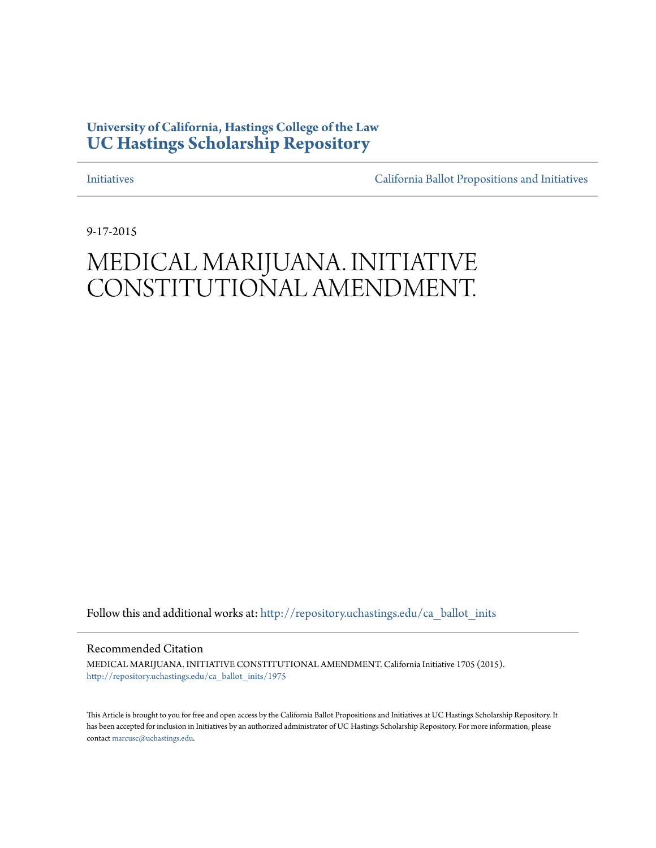# **University of California, Hastings College of the Law [UC Hastings Scholarship Repository](http://repository.uchastings.edu?utm_source=repository.uchastings.edu%2Fca_ballot_inits%2F1975&utm_medium=PDF&utm_campaign=PDFCoverPages)**

[Initiatives](http://repository.uchastings.edu/ca_ballot_inits?utm_source=repository.uchastings.edu%2Fca_ballot_inits%2F1975&utm_medium=PDF&utm_campaign=PDFCoverPages) [California Ballot Propositions and Initiatives](http://repository.uchastings.edu/ca_ballots?utm_source=repository.uchastings.edu%2Fca_ballot_inits%2F1975&utm_medium=PDF&utm_campaign=PDFCoverPages)

9-17-2015

# MEDICAL MARIJUANA. INITIATIVE CONSTITUTIONAL AMENDMENT.

Follow this and additional works at: [http://repository.uchastings.edu/ca\\_ballot\\_inits](http://repository.uchastings.edu/ca_ballot_inits?utm_source=repository.uchastings.edu%2Fca_ballot_inits%2F1975&utm_medium=PDF&utm_campaign=PDFCoverPages)

Recommended Citation

MEDICAL MARIJUANA. INITIATIVE CONSTITUTIONAL AMENDMENT. California Initiative 1705 (2015). [http://repository.uchastings.edu/ca\\_ballot\\_inits/1975](http://repository.uchastings.edu/ca_ballot_inits/1975?utm_source=repository.uchastings.edu%2Fca_ballot_inits%2F1975&utm_medium=PDF&utm_campaign=PDFCoverPages)

This Article is brought to you for free and open access by the California Ballot Propositions and Initiatives at UC Hastings Scholarship Repository. It has been accepted for inclusion in Initiatives by an authorized administrator of UC Hastings Scholarship Repository. For more information, please contact [marcusc@uchastings.edu](mailto:marcusc@uchastings.edu).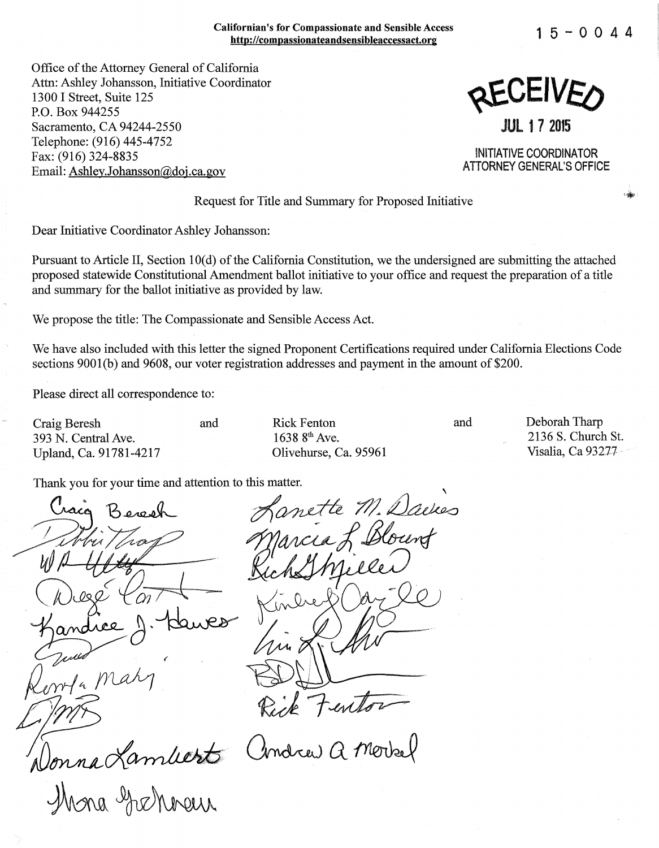#### Californian's for Compassionate and Sensible Access http://compassionateandsensibleaccessact.org

**15-0044** 

Office of the Attorney General of California Attn: Ashley Johansson, Initiative Coordinator 1300 I Street, Suite 125 P.O. Box 944255 Sacramento, CA 94244-2550 Telephone: (916) 445-4752 Fax: (916) 324-8835 Email: Ashley.Johansson@doj.ca.gov



**JUL 17 2015** 

INITIATIVE COORDINATOR ATTORNEY GENERAL'S OFFICE

#### Request for Title and Summary for Proposed Initiative

Dear Initiative Coordinator Ashley Johansson:

Pursuant to Article II, Section 10(d) of the California Constitution, we the undersigned are submitting the attached proposed statewide Constitutional Amendment ballot initiative to your office and request the preparation of a title and summary for the ballot initiative as provided by law.

We propose the title: The Compassionate and Sensible Access Act.

We have also included with this letter the signed Proponent Certifications required under California Elections Code sections  $9001(b)$  and  $9608$ , our voter registration addresses and payment in the amount of \$200.

Please direct all correspondence to:

Craig Beresh 393 N. Central Ave. Upland, Ca. 91781-4217 and Rick Fenton  $1638.8^{th}$  Ave. Olivehurse, Ca. 95961 and

Deborah Tharp 2136 S. Church St. Visalia, Ca 93277 ··

Thank you for your time and attention to this matter.

Beresh Arnette M. Dackes Wh Utty RichShieles<br>Wh Utty RichShieles<br>Kandiee J. Hawes Kinder Oazle Donna Lambert Andrew a Morrel Jonna Kambert and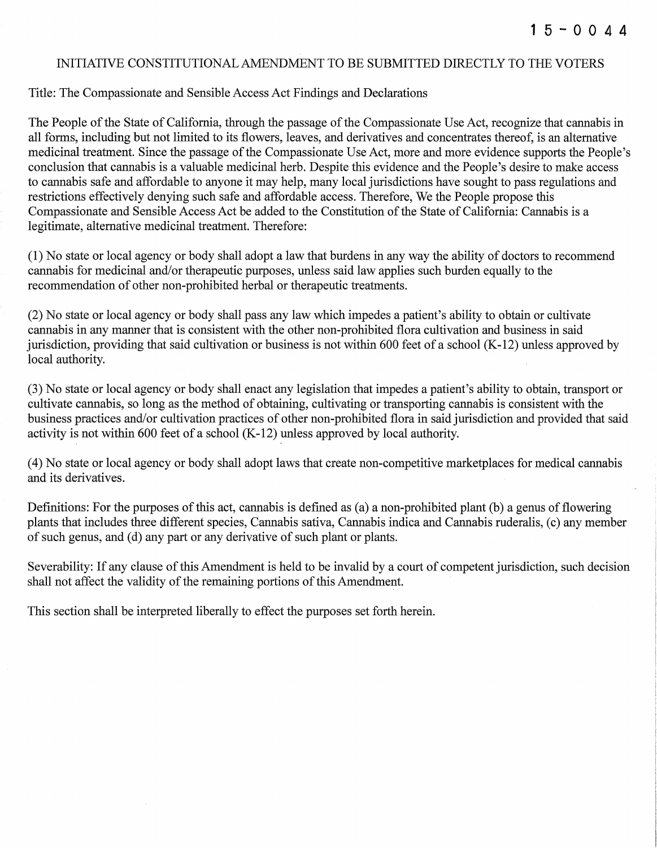# INITIATIVE CONSTITUTIONAL AMENDMENT TO BE SUBMITTED DIRECTLY TO THE VOTERS

## Title: The Compassionate and Sensible Access Act Findings and Declarations

The People of the State of California, through the passage of the Compassionate Use Act, recognize that cannabis in all forms, including but not limited to its flowers, leaves, and derivatives and concentrates thereof, is an alternative medicinal treatment. Since the passage of the Compassionate Use Act, more and more evidence supports the People's conclusion that cannabis is a valuable medicinal herb. Despite this evidence and the People's desire to make access to cannabis safe and affordable to anyone it may help; many local jurisdictions have sought to pass regulations and restrictions effectively denying such safe and affordable access. Therefore, We the People propose this Compassionate and Sensible Access Act be added to the Constitution of the State of California: Cannabis is a legitimate, alternative medicinal treatment. Therefore:

(1) No state or local agency or body shall adopt a law that burdens in any way the ability of doctors to recommend cannabis for medicinal and/or therapeutic purposes, unless said law applies such burden equally to the recommendation of other non-prohibited herbal or therapeutic treatments.

(2) No state or local agency or body shall pass any law which impedes a patient's ability to obtain or cultivate cannabis in any manner that is consistent with the other non-prohibited flora cultivation and business in said jurisdiction, providing that said cultivation or business is not within 600 feet of a school (K-12) unless approved by local authority.

(3) No state or local agency or body shall enact any legislation that impedes a patient's ability to obtain, transport or cultivate cannabis, so long as the method of obtaining, cultivating or transporting cannabis is consistent with the business practices and/or cultivation practices of other non-prohibited flora in said jurisdiction and provided that said activity is not within 600 feet of a school (K-12) unless approved by local authority.

( 4) No state or local agency or body shall adopt laws that create non-competitive marketplaces for medical cannabis and its derivatives.

Definitions: For the purposes of this act, cannabis is defined as (a) a non-prohibited plant (b) a genus of flowering plants that includes three different species, Cannabis sativa, Cannabis indica and Cannabis ruderalis, (c) any member of such genus, and (d) any part or any derivative of such plant or plants.

Severability: If any clause of this Amendment is held to be invalid by a court of competent jurisdiction, such decision shall not affect the validity of the remaining portions of this Amendment.

This section shall be interpreted liberally to effect the purposes set forth herein.